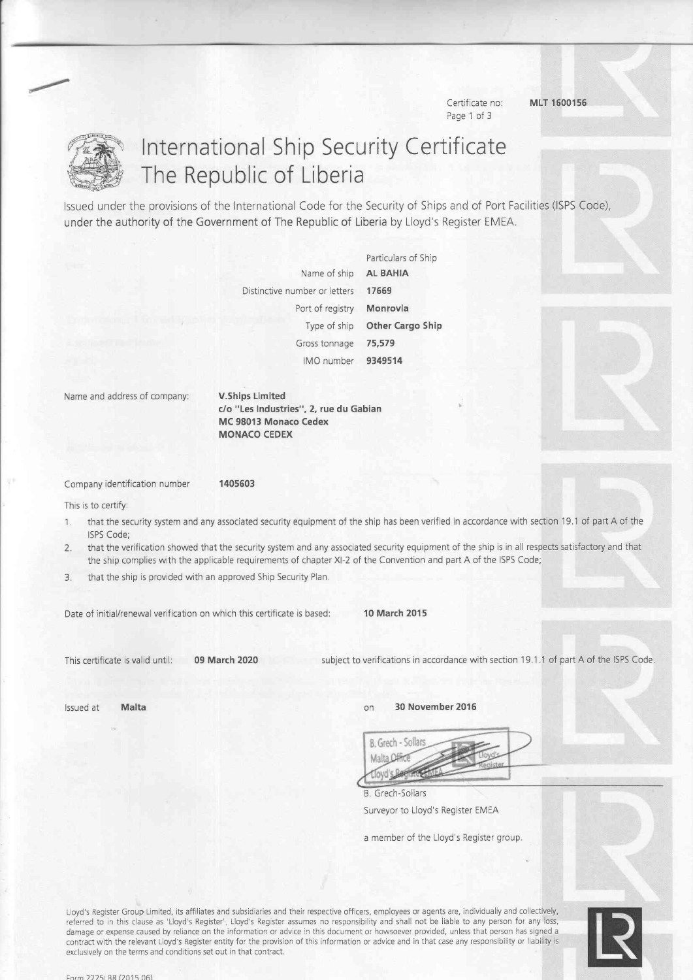Page 1 of 3

Certificate no: MLT 1600156



# International Ship Security Certificate The Republic of Liberia

lssued under the provisions of the International Code for the Security of Ships and of Port Facilities (ISPS Code), under the authority of the Government of The Republic of Liberia by Lloyd's Register EMEA.

> Name of ship Distinctive number or letters Port of registry Type of ship Gross tonnage IMO number Particulars of Ship AL BAHIA 17669 Monrovia Other Cargo Ship 75,579 9349514

Name and address of company: V.Ships Limited

c/o "Les Industries", 2, rue du Gabian MC 98013 Monaco Cedex MONACO CEDEX

Company identification number 1405603

This is to certify:

- 1. that the security system and any associated security equipment of the ship has been veritied in accordance with section l9.l of part A of the ISPS Code:
- 2. that the verification showed that the security system and any associated security equipment of the ship is in all respects satisfactory and that the ship complies with the applicable requirements of chapter Xl-2 of the Convention and part A of the ISPS Code;
- 3. that the ship is pfovided with an approved Ship Security Plan.

Date of initial/renewal verification on which this certificate is based: 10 March 2015

This certificate is valid until: 09 March 2020 subject to verifications in accordance with section 19.1.1 of part A of the ISPS Code.

lssued at **Malta** 30 November 2016

| B. Grech - Sollars |  |  |
|--------------------|--|--|
| Malta Lim          |  |  |
|                    |  |  |

B. Grech-Sollars Surveyor to Lloyd's Register EMEA

a member of the Lloyd's Register group.

Lloyd's Register Group Limited, its affiliates and subsidiaries and their respective officers, employees or agents are, individually and collectively, referred to in this clause as 'Lloyd's Register'. Lloyd's Register assumes no responsibility and shall not be liable to any person for any loss, damage or expense caused by reliance on the information or advice in this document or howsoever provided, unless that person has signed a contract with the relevant Lloyd's Register entity for the provision of this information or advice and in that case any responsibility orliability is exclusively on the terms and conditions set out in that contract.

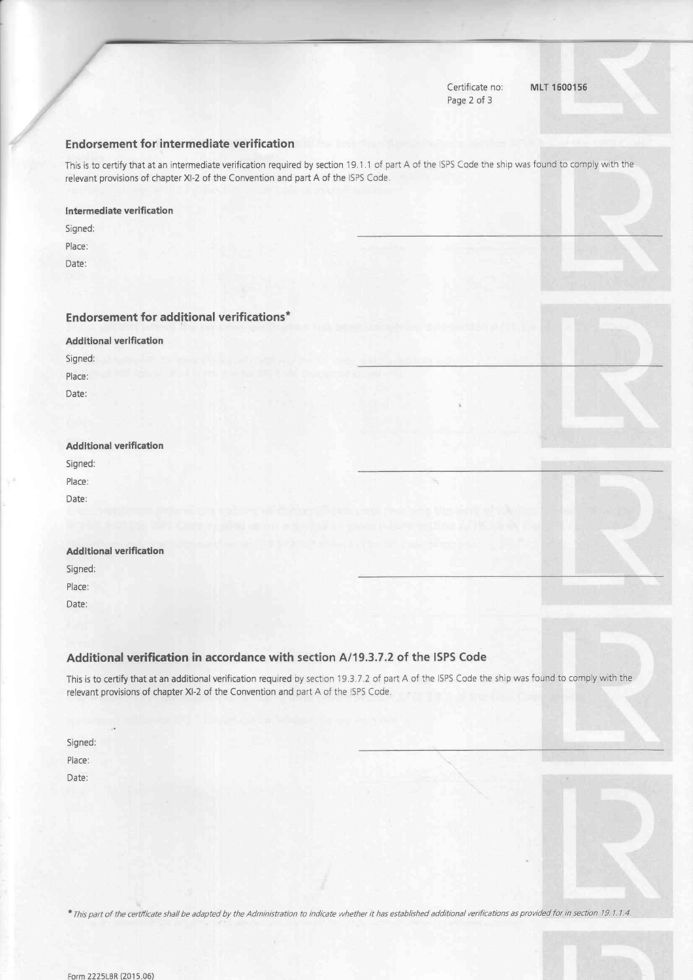Certificate no: Page 2 of 3

MLT 1600156

#### Endorsement for intermediate verification

This is to certify that at an intermediate verification required by section 19.1.1 of part A of the ISPS Code the ship was found to comply with the relevant provisions of chapter Xl-2 of the Convention and part A of the lSPS Code

#### lntermediate veriflcation

Signed:

Place:

Date:

#### Endorsement for additional verifications\*

**Additional verification** Signed: Place:

Date:

#### Additional verification

Signed:

Place: Date:

#### Additional verification

5igned:

Place:

Date:

#### Additional verification in accordance with section A/19.3.7.2 of the ISPS Code

This is to certify that at an additional verification required by section 19.3.7.2 of part A of the ISPS Code the ship was found to comply with the relevant provisions of chapter XI-2 of the Convention and part A of the ISPS Code.

Signed: Place: Date:

\* This part of the certificate shall be adapted by the Administration to indicate whether it has established additional verifications as provided for in section 19.1.1.4.